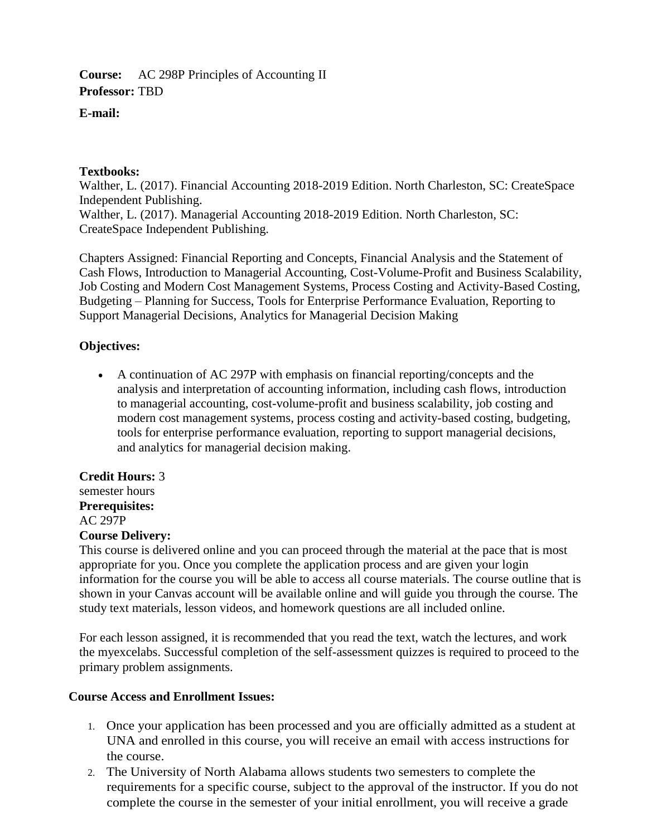#### **Course:** AC 298P Principles of Accounting II **Professor:** TBD

## **E-mail:**

## **Textbooks:**

Walther, L. (2017). Financial Accounting 2018-2019 Edition. North Charleston, SC: CreateSpace Independent Publishing. Walther, L. (2017). Managerial Accounting 2018-2019 Edition. North Charleston, SC: CreateSpace Independent Publishing.

Chapters Assigned: Financial Reporting and Concepts, Financial Analysis and the Statement of Cash Flows, Introduction to Managerial Accounting, Cost-Volume-Profit and Business Scalability, Job Costing and Modern Cost Management Systems, Process Costing and Activity-Based Costing, Budgeting – Planning for Success, Tools for Enterprise Performance Evaluation, Reporting to Support Managerial Decisions, Analytics for Managerial Decision Making

# **Objectives:**

 A continuation of AC 297P with emphasis on financial reporting/concepts and the analysis and interpretation of accounting information, including cash flows, introduction to managerial accounting, cost-volume-profit and business scalability, job costing and modern cost management systems, process costing and activity-based costing, budgeting, tools for enterprise performance evaluation, reporting to support managerial decisions, and analytics for managerial decision making.

## **Credit Hours:** 3

semester hours **Prerequisites:** AC 297P **Course Delivery:**

This course is delivered online and you can proceed through the material at the pace that is most appropriate for you. Once you complete the application process and are given your login information for the course you will be able to access all course materials. The course outline that is shown in your Canvas account will be available online and will guide you through the course. The study text materials, lesson videos, and homework questions are all included online.

For each lesson assigned, it is recommended that you read the text, watch the lectures, and work the myexcelabs. Successful completion of the self-assessment quizzes is required to proceed to the primary problem assignments.

## **Course Access and Enrollment Issues:**

- 1. Once your application has been processed and you are officially admitted as a student at UNA and enrolled in this course, you will receive an email with access instructions for the course.
- 2. The University of North Alabama allows students two semesters to complete the requirements for a specific course, subject to the approval of the instructor. If you do not complete the course in the semester of your initial enrollment, you will receive a grade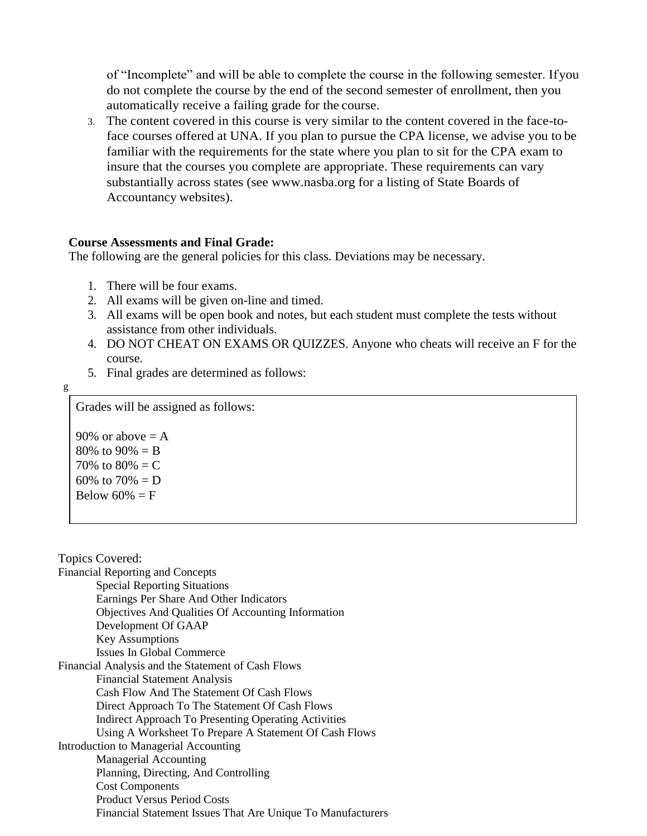of "Incomplete" and will be able to complete the course in the following semester. Ifyou do not complete the course by the end of the second semester of enrollment, then you automatically receive a failing grade for the course.

3. The content covered in this course is very similar to the content covered in the face-toface courses offered at UNA. If you plan to pursue the CPA license, we advise you to be familiar with the requirements for the state where you plan to sit for the CPA exam to insure that the courses you complete are appropriate. These requirements can vary substantially across states (see [www.nasba.org f](http://www.nasba.org/)or a listing of State Boards of Accountancy websites).

#### **Course Assessments and Final Grade:**

The following are the general policies for this class. Deviations may be necessary.

- 1. There will be four exams.
- 2. All exams will be given on-line and timed.
- 3. All exams will be open book and notes, but each student must complete the tests without assistance from other individuals.
- 4. DO NOT CHEAT ON EXAMS OR QUIZZES. Anyone who cheats will receive an F for the course.
- 5. Final grades are determined as follows:

$$
\,g\,
$$

Grades will be assigned as follows:

90% or above  $= A$ 80% to  $90\% = B$ 70% to  $80% = C$ 60% to  $70% = D$ Below  $60\% = F$ 

| <b>Topics Covered:</b>                                      |
|-------------------------------------------------------------|
| <b>Financial Reporting and Concepts</b>                     |
| <b>Special Reporting Situations</b>                         |
| Earnings Per Share And Other Indicators                     |
| Objectives And Qualities Of Accounting Information          |
| Development Of GAAP                                         |
| <b>Key Assumptions</b>                                      |
| Issues In Global Commerce                                   |
| Financial Analysis and the Statement of Cash Flows          |
| <b>Financial Statement Analysis</b>                         |
| Cash Flow And The Statement Of Cash Flows                   |
| Direct Approach To The Statement Of Cash Flows              |
| Indirect Approach To Presenting Operating Activities        |
| Using A Worksheet To Prepare A Statement Of Cash Flows      |
| Introduction to Managerial Accounting                       |
| <b>Managerial Accounting</b>                                |
| Planning, Directing, And Controlling                        |
| <b>Cost Components</b>                                      |
| <b>Product Versus Period Costs</b>                          |
| Financial Statement Issues That Are Unique To Manufacturers |
|                                                             |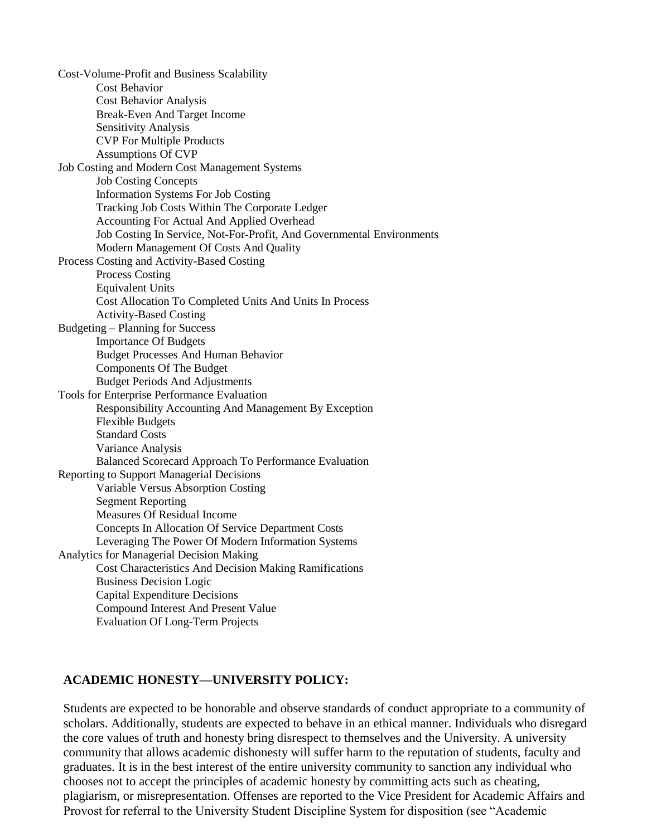Cost-Volume-Profit and Business Scalability Cost Behavior Cost Behavior Analysis Break-Even And Target Income Sensitivity Analysis CVP For Multiple Products Assumptions Of CVP Job Costing and Modern Cost Management Systems Job Costing Concepts Information Systems For Job Costing Tracking Job Costs Within The Corporate Ledger Accounting For Actual And Applied Overhead Job Costing In Service, Not-For-Profit, And Governmental Environments Modern Management Of Costs And Quality Process Costing and Activity-Based Costing Process Costing Equivalent Units Cost Allocation To Completed Units And Units In Process Activity-Based Costing Budgeting – Planning for Success Importance Of Budgets Budget Processes And Human Behavior Components Of The Budget Budget Periods And Adjustments Tools for Enterprise Performance Evaluation Responsibility Accounting And Management By Exception Flexible Budgets Standard Costs Variance Analysis Balanced Scorecard Approach To Performance Evaluation Reporting to Support Managerial Decisions Variable Versus Absorption Costing Segment Reporting Measures Of Residual Income Concepts In Allocation Of Service Department Costs Leveraging The Power Of Modern Information Systems Analytics for Managerial Decision Making Cost Characteristics And Decision Making Ramifications Business Decision Logic Capital Expenditure Decisions Compound Interest And Present Value Evaluation Of Long-Term Projects

## **ACADEMIC HONESTY—UNIVERSITY POLICY:**

Students are expected to be honorable and observe standards of conduct appropriate to a community of scholars. Additionally, students are expected to behave in an ethical manner. Individuals who disregard the core values of truth and honesty bring disrespect to themselves and the University. A university community that allows academic dishonesty will suffer harm to the reputation of students, faculty and graduates. It is in the best interest of the entire university community to sanction any individual who chooses not to accept the principles of academic honesty by committing acts such as cheating, plagiarism, or misrepresentation. Offenses are reported to the Vice President for Academic Affairs and Provost for referral to the University Student Discipline System for disposition (see "Academic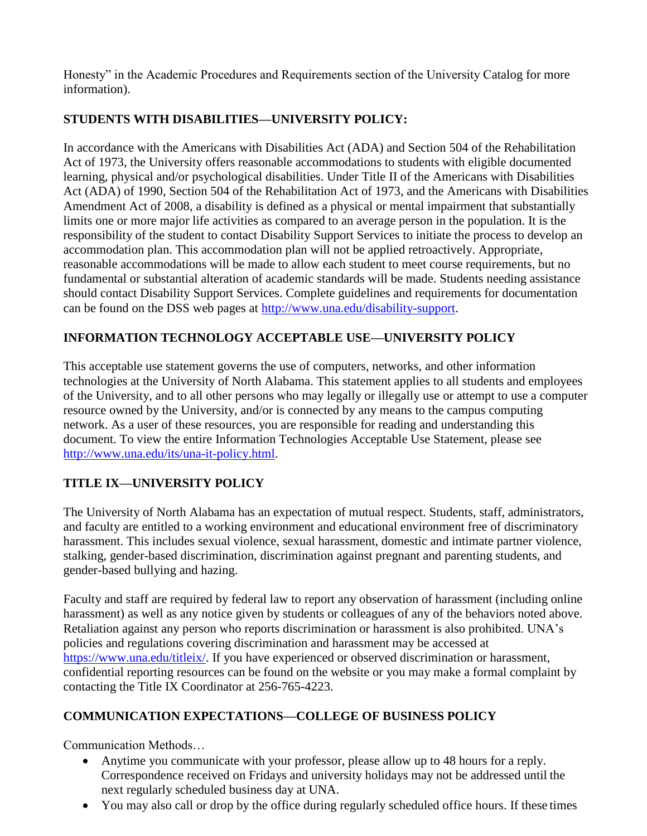Honesty" in the Academic Procedures and Requirements section of the University Catalog for more information).

# **STUDENTS WITH DISABILITIES—UNIVERSITY POLICY:**

In accordance with the Americans with Disabilities Act (ADA) and Section 504 of the Rehabilitation Act of 1973, the University offers reasonable accommodations to students with eligible documented learning, physical and/or psychological disabilities. Under Title II of the Americans with Disabilities Act (ADA) of 1990, Section 504 of the Rehabilitation Act of 1973, and the Americans with Disabilities Amendment Act of 2008, a disability is defined as a physical or mental impairment that substantially limits one or more major life activities as compared to an average person in the population. It is the responsibility of the student to contact Disability Support Services to initiate the process to develop an accommodation plan. This accommodation plan will not be applied retroactively. Appropriate, reasonable accommodations will be made to allow each student to meet course requirements, but no fundamental or substantial alteration of academic standards will be made. Students needing assistance should contact Disability Support Services. Complete guidelines and requirements for documentation can be found on the DSS web pages at [http://www.una.edu/disability-support.](http://www.una.edu/disability-support)

# **INFORMATION TECHNOLOGY ACCEPTABLE USE—UNIVERSITY POLICY**

This acceptable use statement governs the use of computers, networks, and other information technologies at the University of North Alabama. This statement applies to all students and employees of the University, and to all other persons who may legally or illegally use or attempt to use a computer resource owned by the University, and/or is connected by any means to the campus computing network. As a user of these resources, you are responsible for reading and understanding this document. To view the entire Information Technologies Acceptable Use Statement, please see [http://www.una.edu/its/una-it-policy.html.](http://www.una.edu/its/una-it-policy.html)

# **TITLE IX—UNIVERSITY POLICY**

The University of North Alabama has an expectation of mutual respect. Students, staff, administrators, and faculty are entitled to a working environment and educational environment free of discriminatory harassment. This includes sexual violence, sexual harassment, domestic and intimate partner violence, stalking, gender-based discrimination, discrimination against pregnant and parenting students, and gender-based bullying and hazing.

Faculty and staff are required by federal law to report any observation of harassment (including online harassment) as well as any notice given by students or colleagues of any of the behaviors noted above. Retaliation against any person who reports discrimination or harassment is also prohibited. UNA's policies and regulations covering discrimination and harassment may be accessed at [https://www.una.edu/titleix/.](https://www.una.edu/titleix/) If you have experienced or observed discrimination or harassment, confidential reporting resources can be found on the website or you may make a formal complaint by contacting the Title IX Coordinator at 256-765-4223.

# **COMMUNICATION EXPECTATIONS—COLLEGE OF BUSINESS POLICY**

Communication Methods…

- Anytime you communicate with your professor, please allow up to 48 hours for a reply. Correspondence received on Fridays and university holidays may not be addressed until the next regularly scheduled business day at UNA.
- You may also call or drop by the office during regularly scheduled office hours. If these times